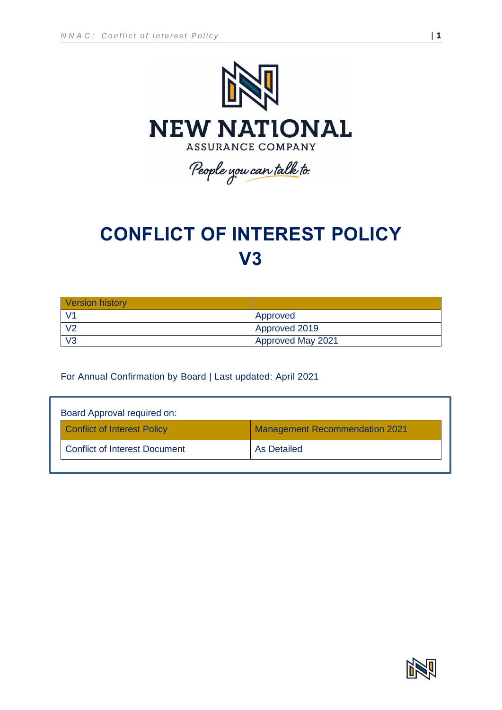

# **CONFLICT OF INTEREST POLICY V3**

| <b>Version history</b> |                          |
|------------------------|--------------------------|
| V <sub>1</sub>         | <b>Approved</b>          |
| V <sub>2</sub>         | Approved 2019            |
| V <sub>3</sub>         | <b>Approved May 2021</b> |

## For Annual Confirmation by Board | Last updated: April 2021

| Board Approval required on:          |                                       |
|--------------------------------------|---------------------------------------|
| <b>Conflict of Interest Policy</b>   | <b>Management Recommendation 2021</b> |
| <b>Conflict of Interest Document</b> | As Detailed                           |

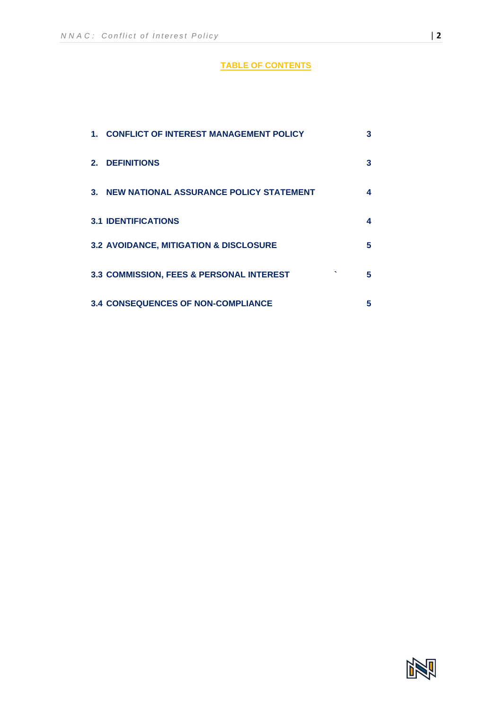# **TABLE OF CONTENTS**

| 1. CONFLICT OF INTEREST MANAGEMENT POLICY         |   |
|---------------------------------------------------|---|
| 2. DEFINITIONS                                    | 3 |
| 3. NEW NATIONAL ASSURANCE POLICY STATEMENT        | 4 |
| <b>3.1 IDENTIFICATIONS</b>                        | 4 |
| <b>3.2 AVOIDANCE, MITIGATION &amp; DISCLOSURE</b> | 5 |
| 3.3 COMMISSION, FEES & PERSONAL INTEREST          | 5 |
| <b>3.4 CONSEQUENCES OF NON-COMPLIANCE</b>         | 5 |

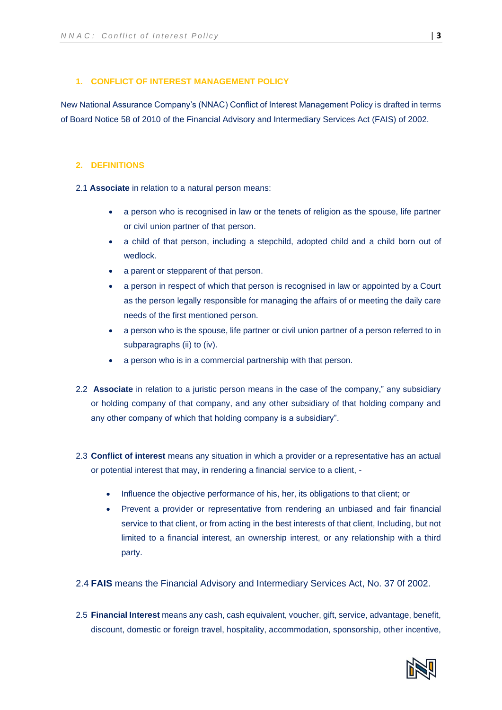## **1. CONFLICT OF INTEREST MANAGEMENT POLICY**

New National Assurance Company's (NNAC) Conflict of Interest Management Policy is drafted in terms of Board Notice 58 of 2010 of the Financial Advisory and Intermediary Services Act (FAIS) of 2002.

### **2. DEFINITIONS**

2.1 **Associate** in relation to a natural person means:

- a person who is recognised in law or the tenets of religion as the spouse, life partner or civil union partner of that person.
- a child of that person, including a stepchild, adopted child and a child born out of wedlock.
- a parent or stepparent of that person.
- a person in respect of which that person is recognised in law or appointed by a Court as the person legally responsible for managing the affairs of or meeting the daily care needs of the first mentioned person.
- a person who is the spouse, life partner or civil union partner of a person referred to in subparagraphs (ii) to (iv).
- a person who is in a commercial partnership with that person.
- 2.2 **Associate** in relation to a juristic person means in the case of the company," any subsidiary or holding company of that company, and any other subsidiary of that holding company and any other company of which that holding company is a subsidiary".
- 2.3 **Conflict of interest** means any situation in which a provider or a representative has an actual or potential interest that may, in rendering a financial service to a client, -
	- Influence the objective performance of his, her, its obligations to that client; or
	- Prevent a provider or representative from rendering an unbiased and fair financial service to that client, or from acting in the best interests of that client, Including, but not limited to a financial interest, an ownership interest, or any relationship with a third party.
- 2.4 **FAIS** means the Financial Advisory and Intermediary Services Act, No. 37 0f 2002.
- 2.5 **Financial Interest** means any cash, cash equivalent, voucher, gift, service, advantage, benefit, discount, domestic or foreign travel, hospitality, accommodation, sponsorship, other incentive,

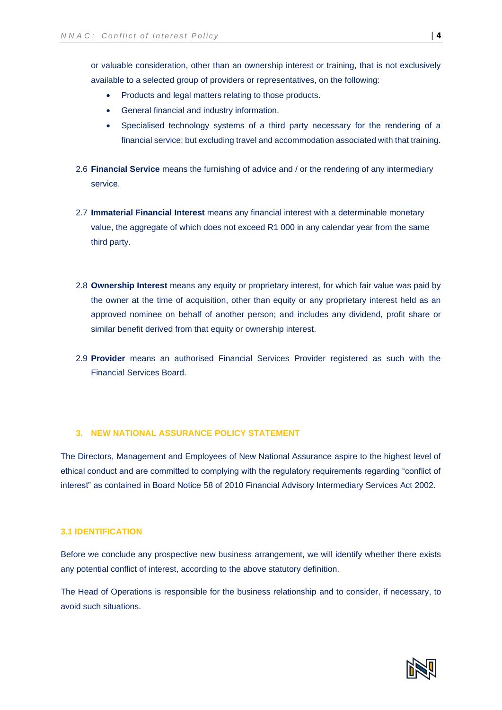or valuable consideration, other than an ownership interest or training, that is not exclusively available to a selected group of providers or representatives, on the following:

- Products and legal matters relating to those products.
- General financial and industry information.
- Specialised technology systems of a third party necessary for the rendering of a financial service; but excluding travel and accommodation associated with that training.
- 2.6 **Financial Service** means the furnishing of advice and / or the rendering of any intermediary service.
- 2.7 **Immaterial Financial Interest** means any financial interest with a determinable monetary value, the aggregate of which does not exceed R1 000 in any calendar year from the same third party.
- 2.8 **Ownership Interest** means any equity or proprietary interest, for which fair value was paid by the owner at the time of acquisition, other than equity or any proprietary interest held as an approved nominee on behalf of another person; and includes any dividend, profit share or similar benefit derived from that equity or ownership interest.
- 2.9 **Provider** means an authorised Financial Services Provider registered as such with the Financial Services Board.

#### **3. NEW NATIONAL ASSURANCE POLICY STATEMENT**

The Directors, Management and Employees of New National Assurance aspire to the highest level of ethical conduct and are committed to complying with the regulatory requirements regarding "conflict of interest" as contained in Board Notice 58 of 2010 Financial Advisory Intermediary Services Act 2002.

#### **3.1 IDENTIFICATION**

Before we conclude any prospective new business arrangement, we will identify whether there exists any potential conflict of interest, according to the above statutory definition.

The Head of Operations is responsible for the business relationship and to consider, if necessary, to avoid such situations.